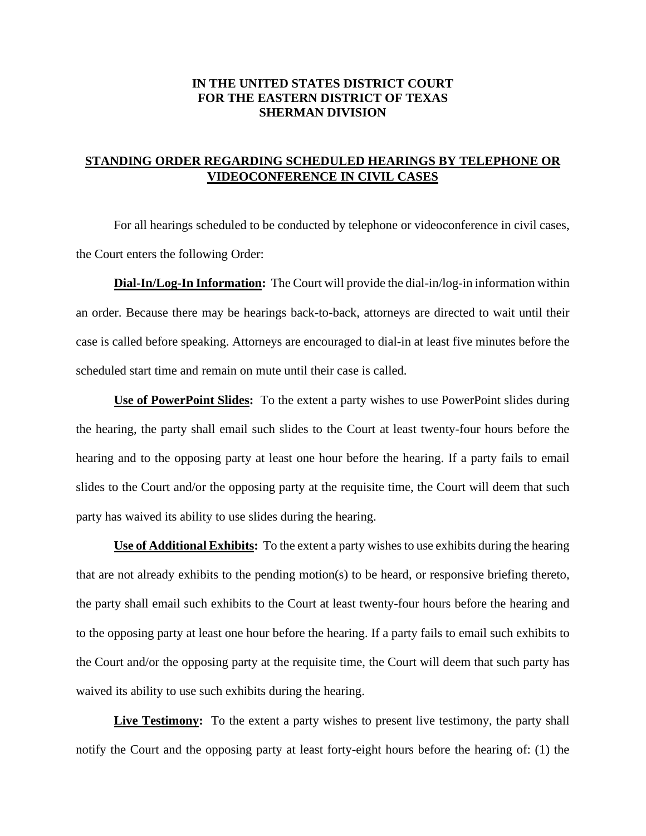## **IN THE UNITED STATES DISTRICT COURT FOR THE EASTERN DISTRICT OF TEXAS SHERMAN DIVISION**

## **STANDING ORDER REGARDING SCHEDULED HEARINGS BY TELEPHONE OR VIDEOCONFERENCE IN CIVIL CASES**

 For all hearings scheduled to be conducted by telephone or videoconference in civil cases, the Court enters the following Order:

**Dial-In/Log-In Information:** The Court will provide the dial-in/log-in information within an order. Because there may be hearings back-to-back, attorneys are directed to wait until their case is called before speaking. Attorneys are encouraged to dial-in at least five minutes before the scheduled start time and remain on mute until their case is called.

**Use of PowerPoint Slides:** To the extent a party wishes to use PowerPoint slides during the hearing, the party shall email such slides to the Court at least twenty-four hours before the hearing and to the opposing party at least one hour before the hearing. If a party fails to email slides to the Court and/or the opposing party at the requisite time, the Court will deem that such party has waived its ability to use slides during the hearing.

**Use of Additional Exhibits:** To the extent a party wishes to use exhibits during the hearing that are not already exhibits to the pending motion(s) to be heard, or responsive briefing thereto, the party shall email such exhibits to the Court at least twenty-four hours before the hearing and to the opposing party at least one hour before the hearing. If a party fails to email such exhibits to the Court and/or the opposing party at the requisite time, the Court will deem that such party has waived its ability to use such exhibits during the hearing.

**Live Testimony:** To the extent a party wishes to present live testimony, the party shall notify the Court and the opposing party at least forty-eight hours before the hearing of: (1) the